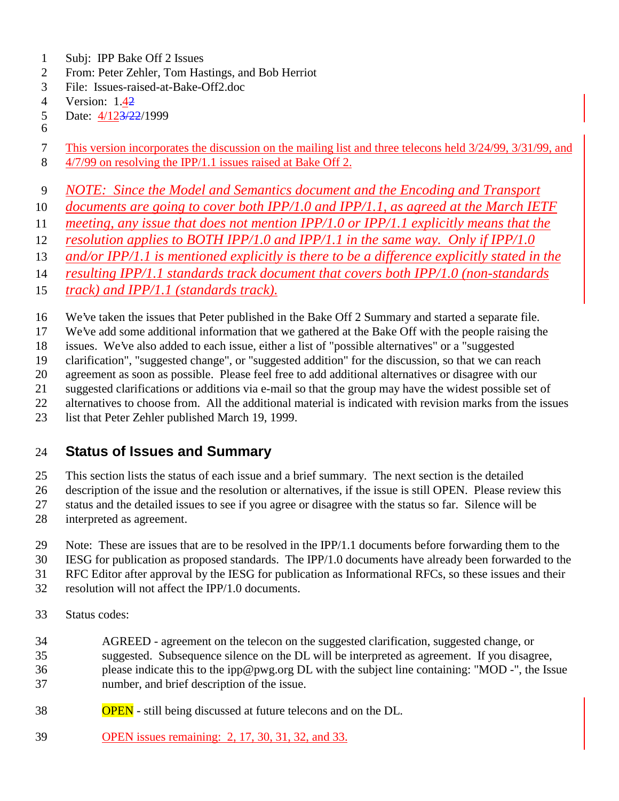- Subj: IPP Bake Off 2 Issues
- From: Peter Zehler, Tom Hastings, and Bob Herriot
- File: Issues-raised-at-Bake-Off2.doc
- Version: 1.42
- 5 Date:  $4/123/22/1999$
- This version incorporates the discussion on the mailing list and three telecons held 3/24/99, 3/31/99, and
- 4/7/99 on resolving the IPP/1.1 issues raised at Bake Off 2.
- *NOTE: Since the Model and Semantics document and the Encoding and Transport*
- *documents are going to cover both IPP/1.0 and IPP/1.1, as agreed at the March IETF*
- *meeting, any issue that does not mention IPP/1.0 or IPP/1.1 explicitly means that the*
- *resolution applies to BOTH IPP/1.0 and IPP/1.1 in the same way. Only if IPP/1.0*
- *and/or IPP/1.1 is mentioned explicitly is there to be a difference explicitly stated in the*
- *resulting IPP/1.1 standards track document that covers both IPP/1.0 (non-standards*
- *track) and IPP/1.1 (standards track).*
- We've taken the issues that Peter published in the Bake Off 2 Summary and started a separate file.
- We've add some additional information that we gathered at the Bake Off with the people raising the
- issues. We've also added to each issue, either a list of "possible alternatives" or a "suggested
- clarification", "suggested change", or "suggested addition" for the discussion, so that we can reach
- agreement as soon as possible. Please feel free to add additional alternatives or disagree with our
- suggested clarifications or additions via e-mail so that the group may have the widest possible set of
- alternatives to choose from. All the additional material is indicated with revision marks from the issues
- list that Peter Zehler published March 19, 1999.

### **Status of Issues and Summary**

- This section lists the status of each issue and a brief summary. The next section is the detailed
- description of the issue and the resolution or alternatives, if the issue is still OPEN. Please review this
- status and the detailed issues to see if you agree or disagree with the status so far. Silence will be
- interpreted as agreement.
- Note: These are issues that are to be resolved in the IPP/1.1 documents before forwarding them to the
- IESG for publication as proposed standards. The IPP/1.0 documents have already been forwarded to the
- RFC Editor after approval by the IESG for publication as Informational RFCs, so these issues and their
- resolution will not affect the IPP/1.0 documents.
- Status codes:
- AGREED agreement on the telecon on the suggested clarification, suggested change, or suggested. Subsequence silence on the DL will be interpreted as agreement. If you disagree, please indicate this to the ipp@pwg.org DL with the subject line containing: "MOD -", the Issue number, and brief description of the issue.
- **OPEN** still being discussed at future telecons and on the DL.
- OPEN issues remaining: 2, 17, 30, 31, 32, and 33.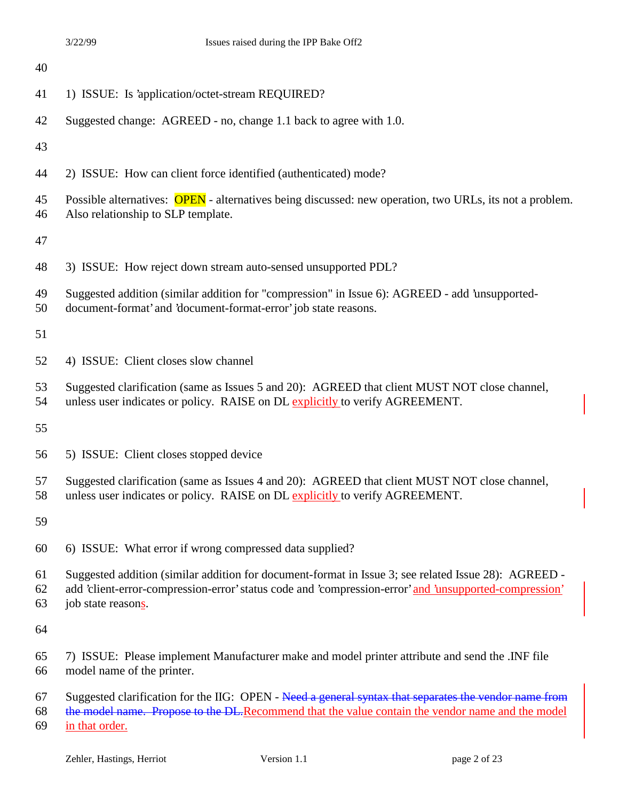| 40             |                                                                                                                                                                                                                                      |
|----------------|--------------------------------------------------------------------------------------------------------------------------------------------------------------------------------------------------------------------------------------|
| 41             | 1) ISSUE: Is 'application/octet-stream REQUIRED?                                                                                                                                                                                     |
| 42             | Suggested change: AGREED - no, change 1.1 back to agree with 1.0.                                                                                                                                                                    |
| 43             |                                                                                                                                                                                                                                      |
| 44             | 2) ISSUE: How can client force identified (authenticated) mode?                                                                                                                                                                      |
| 45<br>46       | Possible alternatives: OPEN - alternatives being discussed: new operation, two URLs, its not a problem.<br>Also relationship to SLP template.                                                                                        |
| 47             |                                                                                                                                                                                                                                      |
| 48             | 3) ISSUE: How reject down stream auto-sensed unsupported PDL?                                                                                                                                                                        |
| 49<br>50       | Suggested addition (similar addition for "compression" in Issue 6): AGREED - add 'unsupported-<br>document-format' and 'document-format-error' job state reasons.                                                                    |
| 51             |                                                                                                                                                                                                                                      |
| 52             | 4) ISSUE: Client closes slow channel                                                                                                                                                                                                 |
| 53<br>54       | Suggested clarification (same as Issues 5 and 20): AGREED that client MUST NOT close channel,<br>unless user indicates or policy. RAISE on DL explicitly to verify AGREEMENT.                                                        |
| 55             |                                                                                                                                                                                                                                      |
| 56             | 5) ISSUE: Client closes stopped device                                                                                                                                                                                               |
| 57<br>58       | Suggested clarification (same as Issues 4 and 20): AGREED that client MUST NOT close channel,<br>unless user indicates or policy. RAISE on DL explicitly to verify AGREEMENT.                                                        |
| 59             |                                                                                                                                                                                                                                      |
| 60             | 6) ISSUE: What error if wrong compressed data supplied?                                                                                                                                                                              |
| 61<br>62<br>63 | Suggested addition (similar addition for document-format in Issue 3; see related Issue 28): AGREED -<br>add 'client-error-compression-error' status code and 'compression-error' and 'unsupported-compression'<br>job state reasons. |
| 64             |                                                                                                                                                                                                                                      |
| 65<br>66       | 7) ISSUE: Please implement Manufacturer make and model printer attribute and send the .INF file<br>model name of the printer.                                                                                                        |
| 67<br>68<br>69 | Suggested clarification for the IIG: OPEN - Need a general syntax that separates the vendor name from<br>the model name. Propose to the DL.Recommend that the value contain the vendor name and the model<br>in that order.          |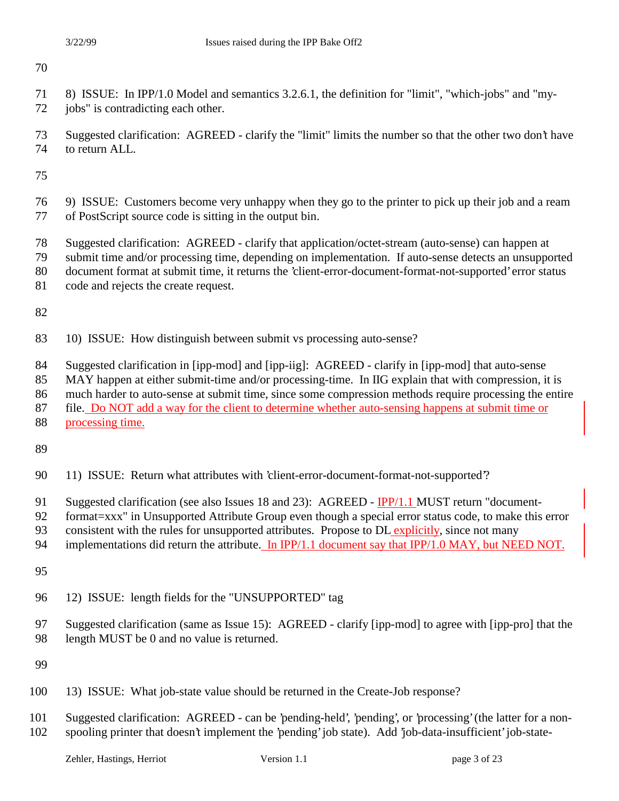8) ISSUE: In IPP/1.0 Model and semantics 3.2.6.1, the definition for "limit", "which-jobs" and "my-

72 jobs" is contradicting each other.

 Suggested clarification: AGREED - clarify the "limit" limits the number so that the other two don't have to return ALL.

- 9) ISSUE: Customers become very unhappy when they go to the printer to pick up their job and a ream of PostScript source code is sitting in the output bin.
- Suggested clarification: AGREED clarify that application/octet-stream (auto-sense) can happen at
- submit time and/or processing time, depending on implementation. If auto-sense detects an unsupported
- document format at submit time, it returns the 'client-error-document-format-not-supported' error status
- code and rejects the create request.

- 10) ISSUE: How distinguish between submit vs processing auto-sense?
- Suggested clarification in [ipp-mod] and [ipp-iig]: AGREED clarify in [ipp-mod] that auto-sense
- MAY happen at either submit-time and/or processing-time. In IIG explain that with compression, it is

much harder to auto-sense at submit time, since some compression methods require processing the entire

- file. Do NOT add a way for the client to determine whether auto-sensing happens at submit time or
- processing time.
- 
- 11) ISSUE: Return what attributes with 'client-error-document-format-not-supported'?
- Suggested clarification (see also Issues 18 and 23): AGREED IPP/1.1 MUST return "document-
- 92 format=xxx" in Unsupported Attribute Group even though a special error status code, to make this error
- 93 consistent with the rules for unsupported attributes. Propose to DL explicitly, since not many
- 94 implementations did return the attribute. In IPP/1.1 document say that IPP/1.0 MAY, but NEED NOT.
- 
- 12) ISSUE: length fields for the "UNSUPPORTED" tag
- Suggested clarification (same as Issue 15): AGREED clarify [ipp-mod] to agree with [ipp-pro] that the length MUST be 0 and no value is returned.

- 13) ISSUE: What job-state value should be returned in the Create-Job response?
- Suggested clarification: AGREED can be 'pending-held', 'pending', or 'processing' (the latter for a non-spooling printer that doesn't implement the 'pending' job state). Add 'job-data-insufficient' job-state-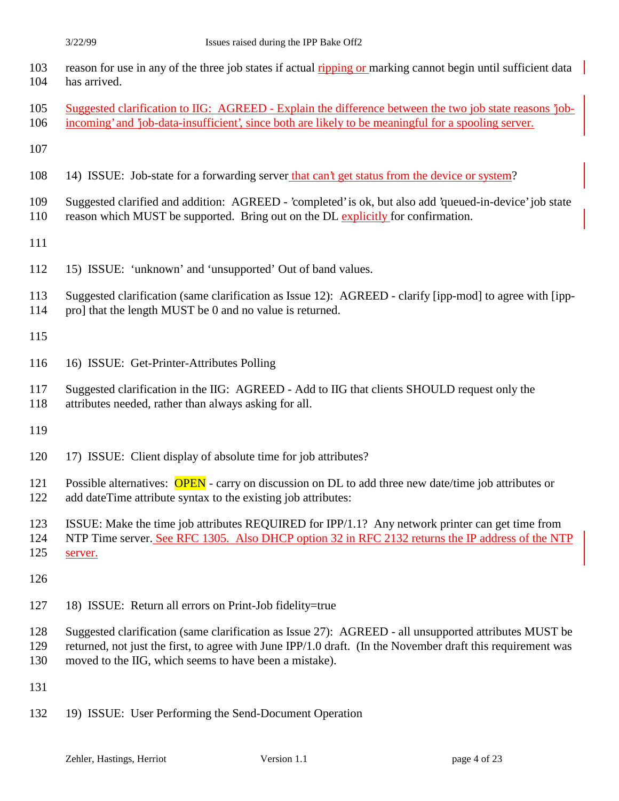| 103 reason for use in any of the three job states if actual ripping or marking cannot begin until sufficient data |
|-------------------------------------------------------------------------------------------------------------------|
| 104 has arrived.                                                                                                  |

- Suggested clarification to IIG: AGREED Explain the difference between the two job state reasons 'job-
- incoming' and 'job-data-insufficient', since both are likely to be meaningful for a spooling server.
- 
- 14) ISSUE: Job-state for a forwarding server that can't get status from the device or system?
- Suggested clarified and addition: AGREED 'completed' is ok, but also add 'queued-in-device' job state
- 110 reason which MUST be supported. Bring out on the DL explicitly for confirmation.
- 
- 15) ISSUE: 'unknown' and 'unsupported' Out of band values.
- Suggested clarification (same clarification as Issue 12): AGREED clarify [ipp-mod] to agree with [ipp-
- pro] that the length MUST be 0 and no value is returned.
- 
- 16) ISSUE: Get-Printer-Attributes Polling
- Suggested clarification in the IIG: AGREED Add to IIG that clients SHOULD request only the
- attributes needed, rather than always asking for all.
- 
- 17) ISSUE: Client display of absolute time for job attributes?
- 121 Possible alternatives: **OPEN** carry on discussion on DL to add three new date/time job attributes or
- add dateTime attribute syntax to the existing job attributes:
- ISSUE: Make the time job attributes REQUIRED for IPP/1.1? Any network printer can get time from
- NTP Time server. See RFC 1305. Also DHCP option 32 in RFC 2132 returns the IP address of the NTP
- server.
- 
- 18) ISSUE: Return all errors on Print-Job fidelity=true
- Suggested clarification (same clarification as Issue 27): AGREED all unsupported attributes MUST be
- returned, not just the first, to agree with June IPP/1.0 draft. (In the November draft this requirement was
- moved to the IIG, which seems to have been a mistake).
- 
- 19) ISSUE: User Performing the Send-Document Operation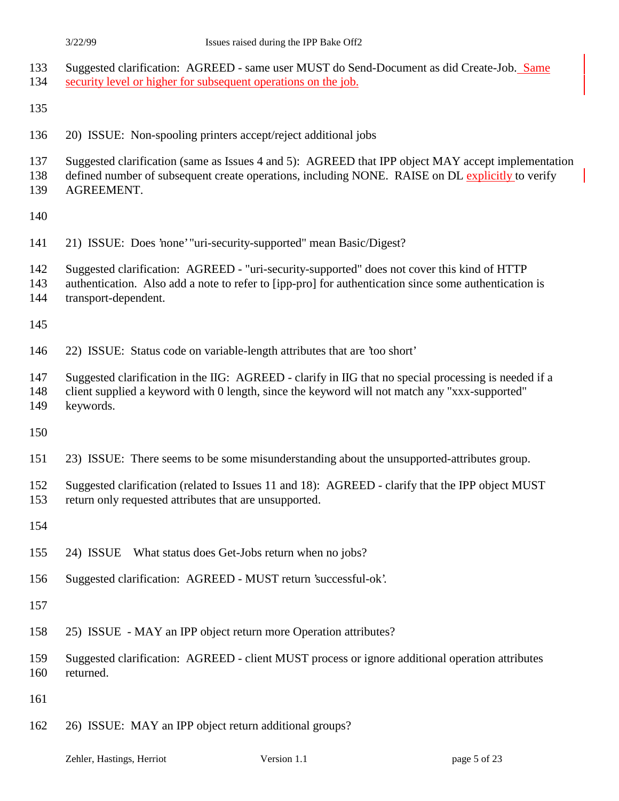| 133<br>134        | Suggested clarification: AGREED - same user MUST do Send-Document as did Create-Job. Same<br>security level or higher for subsequent operations on the job.                                                                  |
|-------------------|------------------------------------------------------------------------------------------------------------------------------------------------------------------------------------------------------------------------------|
| 135               |                                                                                                                                                                                                                              |
| 136               | 20) ISSUE: Non-spooling printers accept/reject additional jobs                                                                                                                                                               |
| 137<br>138<br>139 | Suggested clarification (same as Issues 4 and 5): AGREED that IPP object MAY accept implementation<br>defined number of subsequent create operations, including NONE. RAISE on DL explicitly to verify<br>AGREEMENT.         |
| 140               |                                                                                                                                                                                                                              |
| 141               | 21) ISSUE: Does 'none' "uri-security-supported" mean Basic/Digest?                                                                                                                                                           |
| 142<br>143<br>144 | Suggested clarification: AGREED - "uri-security-supported" does not cover this kind of HTTP<br>authentication. Also add a note to refer to [ipp-pro] for authentication since some authentication is<br>transport-dependent. |
| 145               |                                                                                                                                                                                                                              |
| 146               | 22) ISSUE: Status code on variable-length attributes that are 'too short'                                                                                                                                                    |
| 147<br>148<br>149 | Suggested clarification in the IIG: AGREED - clarify in IIG that no special processing is needed if a<br>client supplied a keyword with 0 length, since the keyword will not match any "xxx-supported"<br>keywords.          |
| 150               |                                                                                                                                                                                                                              |
| 151               | 23) ISSUE: There seems to be some misunderstanding about the unsupported-attributes group.                                                                                                                                   |
| 152<br>153        | Suggested clarification (related to Issues 11 and 18): AGREED - clarify that the IPP object MUST<br>return only requested attributes that are unsupported.                                                                   |
| 154               |                                                                                                                                                                                                                              |
| 155               | 24) ISSUE<br>What status does Get-Jobs return when no jobs?                                                                                                                                                                  |
| 156               | Suggested clarification: AGREED - MUST return 'successful-ok'.                                                                                                                                                               |
| 157               |                                                                                                                                                                                                                              |
| 158               | 25) ISSUE - MAY an IPP object return more Operation attributes?                                                                                                                                                              |
| 159<br>160        | Suggested clarification: AGREED - client MUST process or ignore additional operation attributes<br>returned.                                                                                                                 |
| 161               |                                                                                                                                                                                                                              |
| 162               | 26) ISSUE: MAY an IPP object return additional groups?                                                                                                                                                                       |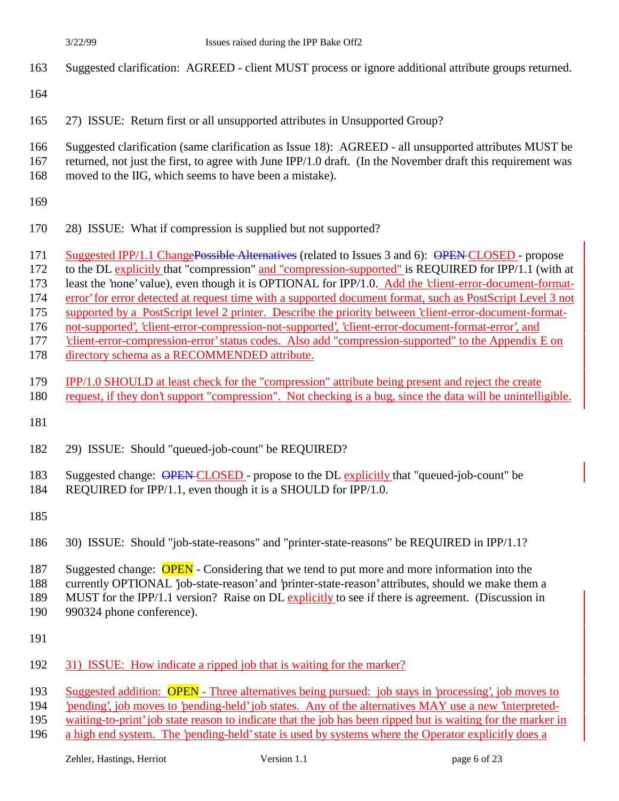- Suggested clarification: AGREED client MUST process or ignore additional attribute groups returned.
- 
- 27) ISSUE: Return first or all unsupported attributes in Unsupported Group?
- Suggested clarification (same clarification as Issue 18): AGREED all unsupported attributes MUST be
- returned, not just the first, to agree with June IPP/1.0 draft. (In the November draft this requirement was
- moved to the IIG, which seems to have been a mistake).
- 
- 28) ISSUE: What if compression is supplied but not supported?
- 171 Suggested IPP/1.1 ChangePossible Alternatives (related to Issues 3 and 6): OPEN-CLOSED propose
- to the DL explicitly that "compression" and "compression-supported" is REQUIRED for IPP/1.1 (with at
- least the 'none' value), even though it is OPTIONAL for IPP/1.0. Add the 'client-error-document-format-
- error' for error detected at request time with a supported document format, such as PostScript Level 3 not
- supported by a PostScript level 2 printer. Describe the priority between 'client-error-document-format-
- not-supported', 'client-error-compression-not-supported', 'client-error-document-format-error', and
- 'client-error-compression-error' status codes. Also add "compression-supported" to the Appendix E on
- directory schema as a RECOMMENDED attribute.
- IPP/1.0 SHOULD at least check for the "compression" attribute being present and reject the create
- request, if they don't support "compression". Not checking is a bug, since the data will be unintelligible.
- 
- 29) ISSUE: Should "queued-job-count" be REQUIRED?
- 183 Suggested change: OPEN CLOSED propose to the DL explicitly that "queued-job-count" be
- REQUIRED for IPP/1.1, even though it is a SHOULD for IPP/1.0.
- 
- 30) ISSUE: Should "job-state-reasons" and "printer-state-reasons" be REQUIRED in IPP/1.1?
- 187 Suggested change: **OPEN** Considering that we tend to put more and more information into the
- currently OPTIONAL 'job-state-reason' and 'printer-state-reason' attributes, should we make them a
- MUST for the IPP/1.1 version? Raise on DL explicitly to see if there is agreement. (Discussion in
- 990324 phone conference).
- 
- 31) ISSUE: How indicate a ripped job that is waiting for the marker?
- Suggested addition: OPEN Three alternatives being pursued: job stays in 'processing', job moves to
- 'pending', job moves to 'pending-held' job states. Any of the alternatives MAY use a new 'interpreted-
- waiting-to-print' job state reason to indicate that the job has been ripped but is waiting for the marker in
- a high end system. The 'pending-held' state is used by systems where the Operator explicitly does a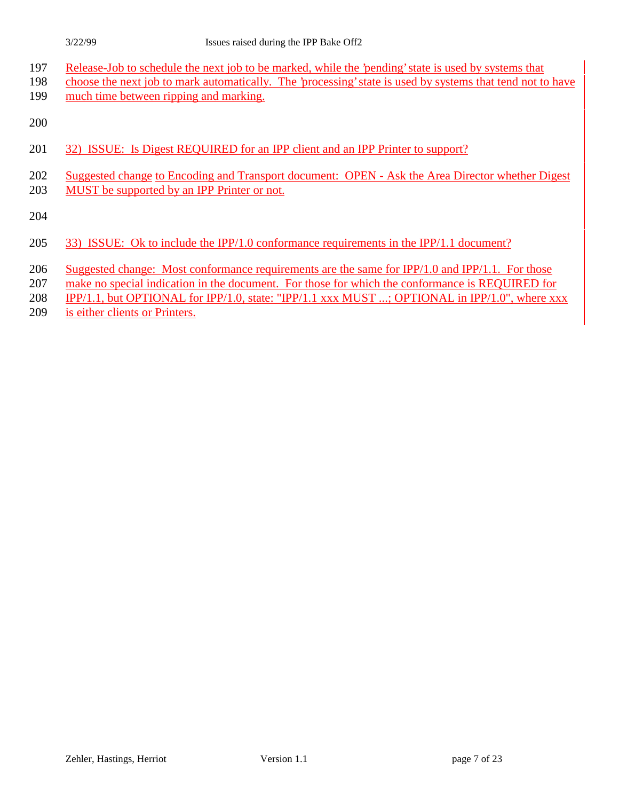- Release-Job to schedule the next job to be marked, while the 'pending' state is used by systems that
- choose the next job to mark automatically. The 'processing' state is used by systems that tend not to have 199 much time between ripping and marking.

- 32) ISSUE: Is Digest REQUIRED for an IPP client and an IPP Printer to support?
- Suggested change to Encoding and Transport document: OPEN Ask the Area Director whether Digest
- MUST be supported by an IPP Printer or not.

- 33) ISSUE: Ok to include the IPP/1.0 conformance requirements in the IPP/1.1 document?
- 206 Suggested change: Most conformance requirements are the same for IPP/1.0 and IPP/1.1. For those
- make no special indication in the document. For those for which the conformance is REQUIRED for
- **IPP/1.1, but OPTIONAL for IPP/1.0, state: "IPP/1.1 xxx MUST ...; OPTIONAL in IPP/1.0", where xxx**
- is either clients or Printers.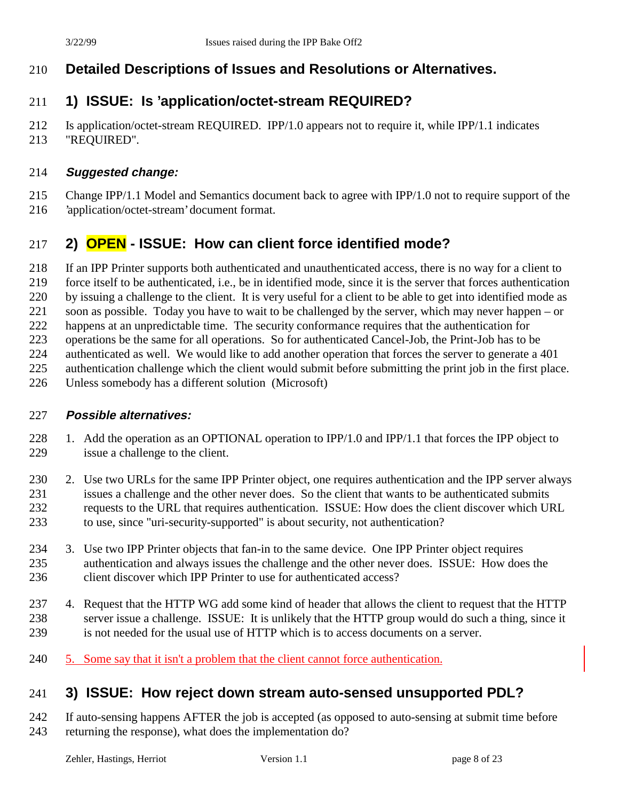### **Detailed Descriptions of Issues and Resolutions or Alternatives.**

### **1) ISSUE: Is 'application/octet-stream REQUIRED?**

 Is application/octet-stream REQUIRED. IPP/1.0 appears not to require it, while IPP/1.1 indicates "REQUIRED".

### **Suggested change:**

- Change IPP/1.1 Model and Semantics document back to agree with IPP/1.0 not to require support of the
- 'application/octet-stream' document format.

# **2) OPEN - ISSUE: How can client force identified mode?**

If an IPP Printer supports both authenticated and unauthenticated access, there is no way for a client to

force itself to be authenticated, i.e., be in identified mode, since it is the server that forces authentication

by issuing a challenge to the client. It is very useful for a client to be able to get into identified mode as

soon as possible. Today you have to wait to be challenged by the server, which may never happen – or

222 happens at an unpredictable time. The security conformance requires that the authentication for

operations be the same for all operations. So for authenticated Cancel-Job, the Print-Job has to be

authenticated as well. We would like to add another operation that forces the server to generate a 401

authentication challenge which the client would submit before submitting the print job in the first place.

Unless somebody has a different solution (Microsoft)

### **Possible alternatives:**

- 1. Add the operation as an OPTIONAL operation to IPP/1.0 and IPP/1.1 that forces the IPP object to issue a challenge to the client.
- 230 2. Use two URLs for the same IPP Printer object, one requires authentication and the IPP server always issues a challenge and the other never does. So the client that wants to be authenticated submits requests to the URL that requires authentication. ISSUE: How does the client discover which URL to use, since "uri-security-supported" is about security, not authentication?
- 3. Use two IPP Printer objects that fan-in to the same device. One IPP Printer object requires authentication and always issues the challenge and the other never does. ISSUE: How does the 236 client discover which IPP Printer to use for authenticated access?
- 4. Request that the HTTP WG add some kind of header that allows the client to request that the HTTP server issue a challenge. ISSUE: It is unlikely that the HTTP group would do such a thing, since it is not needed for the usual use of HTTP which is to access documents on a server.
- 240 5. Some say that it isn't a problem that the client cannot force authentication.

# **3) ISSUE: How reject down stream auto-sensed unsupported PDL?**

 If auto-sensing happens AFTER the job is accepted (as opposed to auto-sensing at submit time before returning the response), what does the implementation do?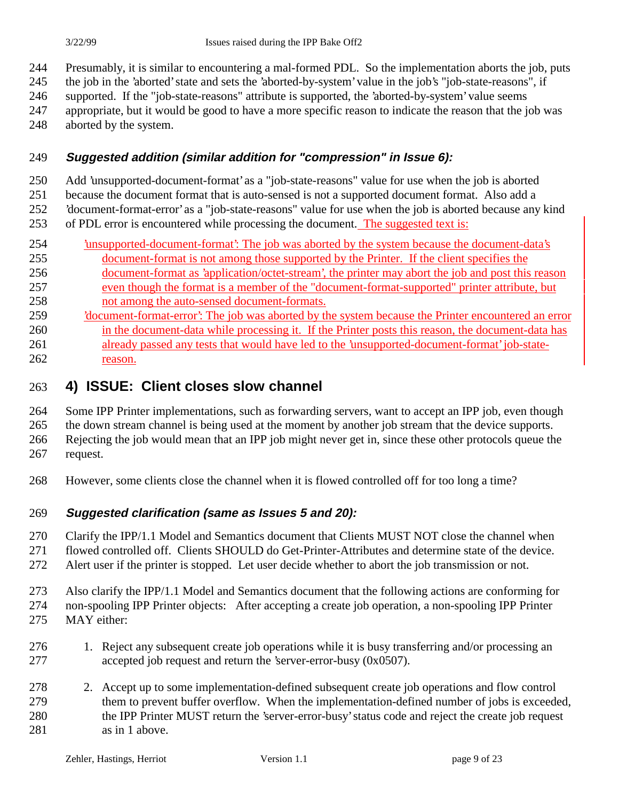Presumably, it is similar to encountering a mal-formed PDL. So the implementation aborts the job, puts

the job in the 'aborted' state and sets the 'aborted-by-system' value in the job's "job-state-reasons", if

supported. If the "job-state-reasons" attribute is supported, the 'aborted-by-system' value seems

- appropriate, but it would be good to have a more specific reason to indicate the reason that the job was
- aborted by the system.

### **Suggested addition (similar addition for "compression" in Issue 6):**

Add 'unsupported-document-format' as a "job-state-reasons" value for use when the job is aborted

 because the document format that is auto-sensed is not a supported document format. Also add a 'document-format-error' as a "job-state-reasons" value for use when the job is aborted because any kind

of PDL error is encountered while processing the document. The suggested text is:

- **Iunsupported-document-format**: The job was aborted by the system because the document-data's document-format is not among those supported by the Printer. If the client specifies the
- document-format as 'application/octet-stream', the printer may abort the job and post this reason even though the format is a member of the "document-format-supported" printer attribute, but not among the auto-sensed document-formats.
- 'document-format-error': The job was aborted by the system because the Printer encountered an error in the document-data while processing it. If the Printer posts this reason, the document-data has already passed any tests that would have led to the 'unsupported-document-format' job-state-reason.

### **4) ISSUE: Client closes slow channel**

Some IPP Printer implementations, such as forwarding servers, want to accept an IPP job, even though

the down stream channel is being used at the moment by another job stream that the device supports.

 Rejecting the job would mean that an IPP job might never get in, since these other protocols queue the request.

However, some clients close the channel when it is flowed controlled off for too long a time?

### **Suggested clarification (same as Issues 5 and 20):**

Clarify the IPP/1.1 Model and Semantics document that Clients MUST NOT close the channel when

flowed controlled off. Clients SHOULD do Get-Printer-Attributes and determine state of the device.

Alert user if the printer is stopped. Let user decide whether to abort the job transmission or not.

- Also clarify the IPP/1.1 Model and Semantics document that the following actions are conforming for non-spooling IPP Printer objects: After accepting a create job operation, a non-spooling IPP Printer
- MAY either:
- 1. Reject any subsequent create job operations while it is busy transferring and/or processing an accepted job request and return the 'server-error-busy (0x0507).
- 2. Accept up to some implementation-defined subsequent create job operations and flow control them to prevent buffer overflow. When the implementation-defined number of jobs is exceeded, the IPP Printer MUST return the 'server-error-busy' status code and reject the create job request 281 as in 1 above.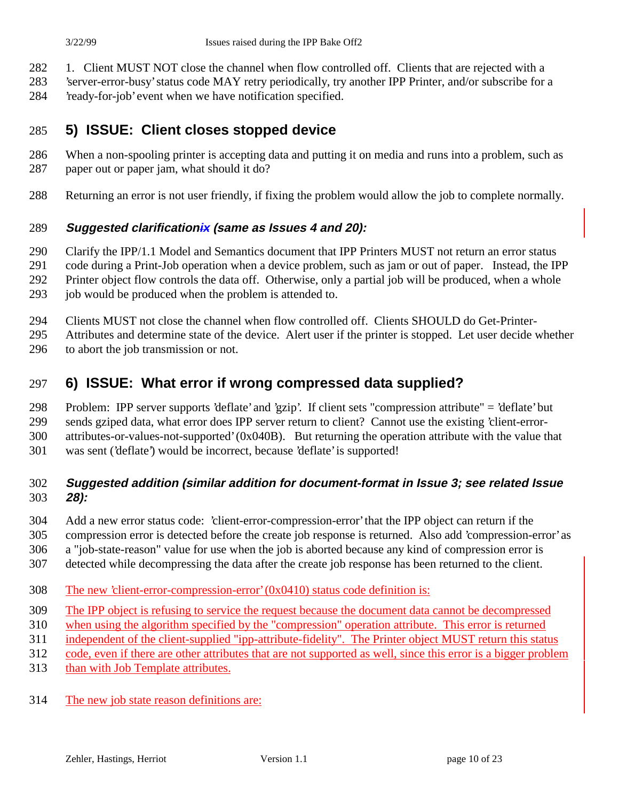- 282 1. Client MUST NOT close the channel when flow controlled off. Clients that are rejected with a
- 'server-error-busy' status code MAY retry periodically, try another IPP Printer, and/or subscribe for a
- 'ready-for-job' event when we have notification specified.

### **5) ISSUE: Client closes stopped device**

- When a non-spooling printer is accepting data and putting it on media and runs into a problem, such as paper out or paper jam, what should it do?
- Returning an error is not user friendly, if fixing the problem would allow the job to complete normally.

#### **Suggested clarificationix (same as Issues 4 and 20):**

- Clarify the IPP/1.1 Model and Semantics document that IPP Printers MUST not return an error status
- code during a Print-Job operation when a device problem, such as jam or out of paper. Instead, the IPP
- Printer object flow controls the data off. Otherwise, only a partial job will be produced, when a whole
- 293 job would be produced when the problem is attended to.
- Clients MUST not close the channel when flow controlled off. Clients SHOULD do Get-Printer-
- Attributes and determine state of the device. Alert user if the printer is stopped. Let user decide whether
- to abort the job transmission or not.

### **6) ISSUE: What error if wrong compressed data supplied?**

- Problem: IPP server supports 'deflate' and 'gzip'. If client sets "compression attribute" = 'deflate' but
- sends gziped data, what error does IPP server return to client? Cannot use the existing 'client-error-
- attributes-or-values-not-supported' (0x040B). But returning the operation attribute with the value that
- was sent ('deflate') would be incorrect, because 'deflate' is supported!

### **Suggested addition (similar addition for document-format in Issue 3; see related Issue 28):**

- Add a new error status code: 'client-error-compression-error' that the IPP object can return if the
- compression error is detected before the create job response is returned. Also add 'compression-error' as
- a "job-state-reason" value for use when the job is aborted because any kind of compression error is
- detected while decompressing the data after the create job response has been returned to the client.
- The new 'client-error-compression-error' (0x0410) status code definition is:
- The IPP object is refusing to service the request because the document data cannot be decompressed
- when using the algorithm specified by the "compression" operation attribute. This error is returned
- independent of the client-supplied "ipp-attribute-fidelity". The Printer object MUST return this status
- code, even if there are other attributes that are not supported as well, since this error is a bigger problem
- than with Job Template attributes.
- The new job state reason definitions are: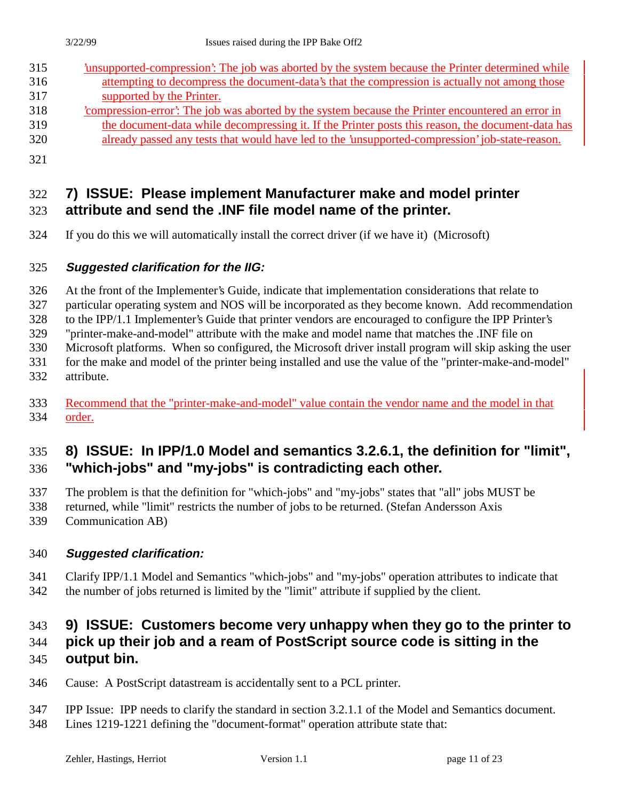| 315 | unsupported-compression. The job was aborted by the system because the Printer determined while   |
|-----|---------------------------------------------------------------------------------------------------|
| 316 | attempting to decompress the document-data's that the compression is actually not among those     |
| 317 | supported by the Printer.                                                                         |
| 318 | compression-error. The job was aborted by the system because the Printer encountered an error in  |
| 319 | the document-data while decompressing it. If the Printer posts this reason, the document-data has |
| 320 | already passed any tests that would have led to the 'unsupported-compression' job-state-reason.   |
| 321 |                                                                                                   |

### **7) ISSUE: Please implement Manufacturer make and model printer attribute and send the .INF file model name of the printer.**

If you do this we will automatically install the correct driver (if we have it) (Microsoft)

### **Suggested clarification for the IIG:**

At the front of the Implementer's Guide, indicate that implementation considerations that relate to

particular operating system and NOS will be incorporated as they become known. Add recommendation

to the IPP/1.1 Implementer's Guide that printer vendors are encouraged to configure the IPP Printer's

"printer-make-and-model" attribute with the make and model name that matches the .INF file on

Microsoft platforms. When so configured, the Microsoft driver install program will skip asking the user

- for the make and model of the printer being installed and use the value of the "printer-make-and-model" attribute.
- 333 Recommend that the "printer-make-and-model" value contain the vendor name and the model in that order.

### **8) ISSUE: In IPP/1.0 Model and semantics 3.2.6.1, the definition for "limit", "which-jobs" and "my-jobs" is contradicting each other.**

The problem is that the definition for "which-jobs" and "my-jobs" states that "all" jobs MUST be

- returned, while "limit" restricts the number of jobs to be returned. (Stefan Andersson Axis
- Communication AB)

### **Suggested clarification:**

 Clarify IPP/1.1 Model and Semantics "which-jobs" and "my-jobs" operation attributes to indicate that the number of jobs returned is limited by the "limit" attribute if supplied by the client.

# **9) ISSUE: Customers become very unhappy when they go to the printer to**

# **pick up their job and a ream of PostScript source code is sitting in the**

# **output bin.**

- Cause: A PostScript datastream is accidentally sent to a PCL printer.
- IPP Issue: IPP needs to clarify the standard in section 3.2.1.1 of the Model and Semantics document.
- Lines 1219-1221 defining the "document-format" operation attribute state that: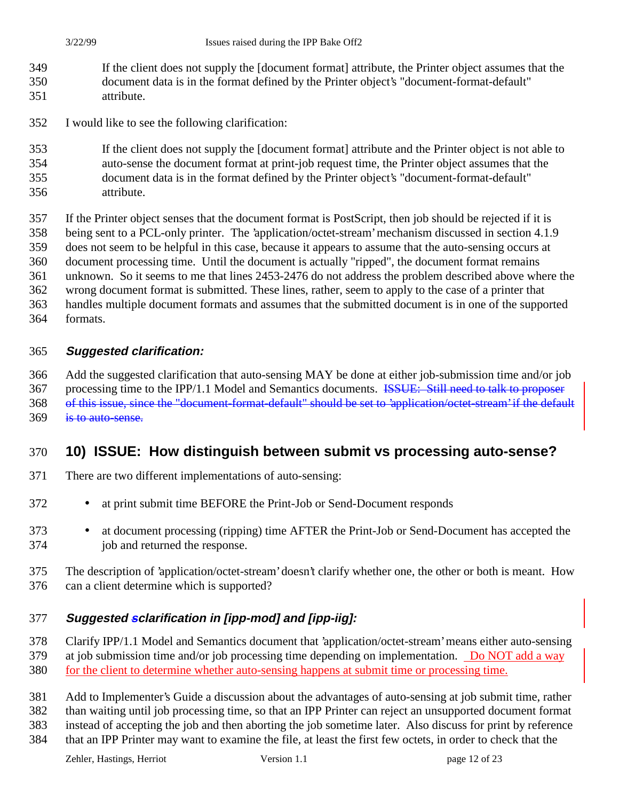- If the client does not supply the [document format] attribute, the Printer object assumes that the document data is in the format defined by the Printer object's "document-format-default" attribute.
- I would like to see the following clarification:
- If the client does not supply the [document format] attribute and the Printer object is not able to
- auto-sense the document format at print-job request time, the Printer object assumes that the
- document data is in the format defined by the Printer object's "document-format-default" attribute.
- If the Printer object senses that the document format is PostScript, then job should be rejected if it is
- being sent to a PCL-only printer. The 'application/octet-stream' mechanism discussed in section 4.1.9
- does not seem to be helpful in this case, because it appears to assume that the auto-sensing occurs at
- document processing time. Until the document is actually "ripped", the document format remains

unknown. So it seems to me that lines 2453-2476 do not address the problem described above where the

- wrong document format is submitted. These lines, rather, seem to apply to the case of a printer that
- handles multiple document formats and assumes that the submitted document is in one of the supported
- formats.

### **Suggested clarification:**

 Add the suggested clarification that auto-sensing MAY be done at either job-submission time and/or job 367 processing time to the IPP/1.1 Model and Semantics documents. <del>ISSUE: Still need to talk to proposer</del> of this issue, since the "document-format-default" should be set to 'application/octet-stream' if the default is to auto-sense.

### **10) ISSUE: How distinguish between submit vs processing auto-sense?**

- There are two different implementations of auto-sensing:
- at print submit time BEFORE the Print-Job or Send-Document responds
- at document processing (ripping) time AFTER the Print-Job or Send-Document has accepted the job and returned the response.
- The description of 'application/octet-stream' doesn't clarify whether one, the other or both is meant. How can a client determine which is supported?

### **Suggested sclarification in [ipp-mod] and [ipp-iig]:**

- Clarify IPP/1.1 Model and Semantics document that 'application/octet-stream' means either auto-sensing
- 379 at job submission time and/or job processing time depending on implementation. Do NOT add a way
- for the client to determine whether auto-sensing happens at submit time or processing time.
- Add to Implementer's Guide a discussion about the advantages of auto-sensing at job submit time, rather than waiting until job processing time, so that an IPP Printer can reject an unsupported document format

 instead of accepting the job and then aborting the job sometime later. Also discuss for print by reference that an IPP Printer may want to examine the file, at least the first few octets, in order to check that the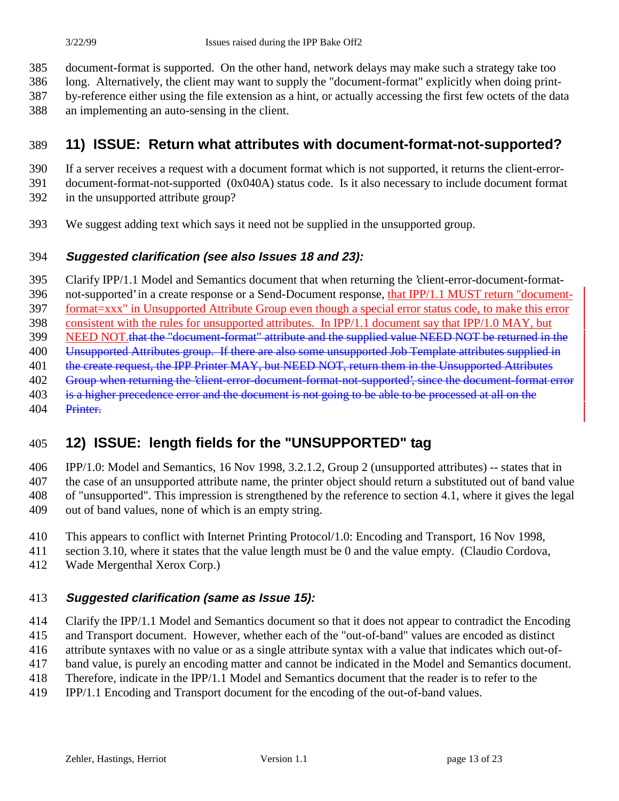document-format is supported. On the other hand, network delays may make such a strategy take too

long. Alternatively, the client may want to supply the "document-format" explicitly when doing print-

by-reference either using the file extension as a hint, or actually accessing the first few octets of the data

an implementing an auto-sensing in the client.

# **11) ISSUE: Return what attributes with document-format-not-supported?**

- If a server receives a request with a document format which is not supported, it returns the client-error-
- document-format-not-supported (0x040A) status code. Is it also necessary to include document format
- in the unsupported attribute group?
- We suggest adding text which says it need not be supplied in the unsupported group.

### **Suggested clarification (see also Issues 18 and 23):**

Clarify IPP/1.1 Model and Semantics document that when returning the 'client-error-document-format-

396 not-supported' in a create response or a Send-Document response, that IPP/1.1 MUST return "document-

format=xxx" in Unsupported Attribute Group even though a special error status code, to make this error

 consistent with the rules for unsupported attributes. In IPP/1.1 document say that IPP/1.0 MAY, but 399 NEED NOT that the "document-format" attribute and the supplied value NEED NOT be returned in the

- 400 Unsupported Attributes group. If there are also some unsupported Job Template attributes supplied in
- 401 the create request, the IPP Printer MAY, but NEED NOT, return them in the Unsupported Attributes
- 402 Group when returning the 'client-error-document-format-not-supported', since the document-format error
- 403 is a higher precedence error and the document is not going to be able to be processed at all on the
- 404 Printer.

# **12) ISSUE: length fields for the "UNSUPPORTED" tag**

 IPP/1.0: Model and Semantics, 16 Nov 1998, 3.2.1.2, Group 2 (unsupported attributes) -- states that in the case of an unsupported attribute name, the printer object should return a substituted out of band value of "unsupported". This impression is strengthened by the reference to section 4.1, where it gives the legal out of band values, none of which is an empty string.

- This appears to conflict with Internet Printing Protocol/1.0: Encoding and Transport, 16 Nov 1998,
- section 3.10, where it states that the value length must be 0 and the value empty. (Claudio Cordova,
- Wade Mergenthal Xerox Corp.)

# **Suggested clarification (same as Issue 15):**

Clarify the IPP/1.1 Model and Semantics document so that it does not appear to contradict the Encoding

and Transport document. However, whether each of the "out-of-band" values are encoded as distinct

attribute syntaxes with no value or as a single attribute syntax with a value that indicates which out-of-

- band value, is purely an encoding matter and cannot be indicated in the Model and Semantics document.
- Therefore, indicate in the IPP/1.1 Model and Semantics document that the reader is to refer to the
- IPP/1.1 Encoding and Transport document for the encoding of the out-of-band values.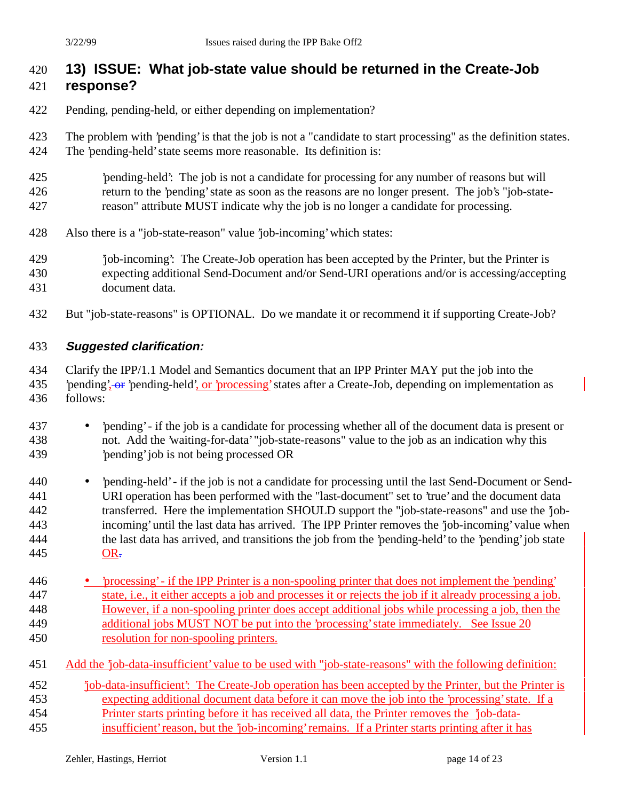# **13) ISSUE: What job-state value should be returned in the Create-Job**

### **response?**

- Pending, pending-held, or either depending on implementation?
- The problem with 'pending' is that the job is not a "candidate to start processing" as the definition states. The 'pending-held' state seems more reasonable. Its definition is:
- 'pending-held': The job is not a candidate for processing for any number of reasons but will return to the 'pending' state as soon as the reasons are no longer present. The job's "job-state-reason" attribute MUST indicate why the job is no longer a candidate for processing.
- Also there is a "job-state-reason" value 'job-incoming' which states:
- 'job-incoming': The Create-Job operation has been accepted by the Printer, but the Printer is expecting additional Send-Document and/or Send-URI operations and/or is accessing/accepting document data.
- But "job-state-reasons" is OPTIONAL. Do we mandate it or recommend it if supporting Create-Job?

#### **Suggested clarification:**

- Clarify the IPP/1.1 Model and Semantics document that an IPP Printer MAY put the job into the 435 bending', or 'pending-held', or 'processing' states after a Create-Job, depending on implementation as follows:
- 'pending' if the job is a candidate for processing whether all of the document data is present or not. Add the 'waiting-for-data' "job-state-reasons" value to the job as an indication why this 'pending' job is not being processed OR
- 'pending-held' if the job is not a candidate for processing until the last Send-Document or Send- URI operation has been performed with the "last-document" set to 'true' and the document data transferred. Here the implementation SHOULD support the "job-state-reasons" and use the 'job- incoming' until the last data has arrived. The IPP Printer removes the 'job-incoming' value when the last data has arrived, and transitions the job from the 'pending-held' to the 'pending' job state OR.
- 'processing' if the IPP Printer is a non-spooling printer that does not implement the 'pending' state, i.e., it either accepts a job and processes it or rejects the job if it already processing a job. However, if a non-spooling printer does accept additional jobs while processing a job, then the additional jobs MUST NOT be put into the 'processing' state immediately. See Issue 20 resolution for non-spooling printers.
- Add the 'job-data-insufficient' value to be used with "job-state-reasons" with the following definition:
- 'job-data-insufficient': The Create-Job operation has been accepted by the Printer, but the Printer is expecting additional document data before it can move the job into the 'processing' state. If a Printer starts printing before it has received all data, the Printer removes the 'job-data-
- insufficient' reason, but the 'job-incoming' remains. If a Printer starts printing after it has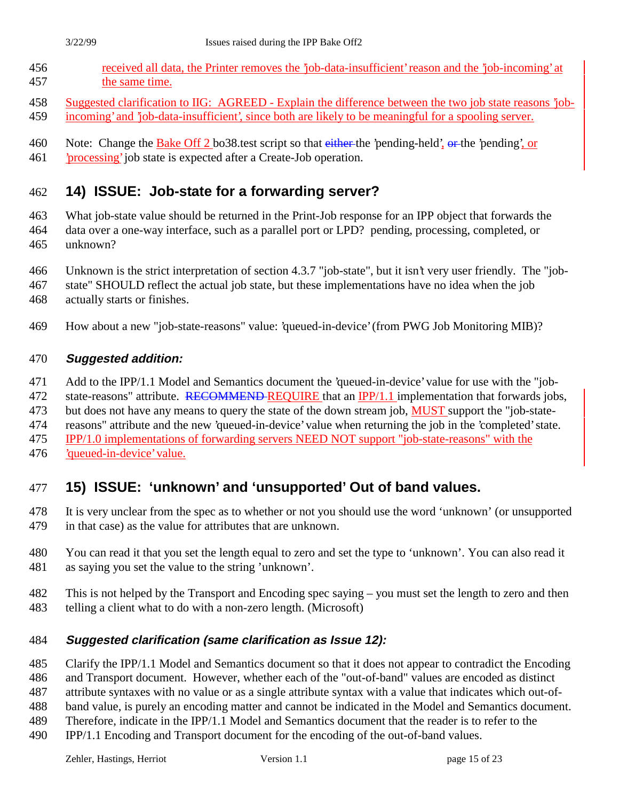- received all data, the Printer removes the 'job-data-insufficient' reason and the 'job-incoming' at the same time.
- Suggested clarification to IIG: AGREED Explain the difference between the two job state reasons 'job-
- incoming' and 'job-data-insufficient', since both are likely to be meaningful for a spooling server.
- 460 Note: Change the Bake Off 2 bo38 test script so that either the 'pending-held', or the 'pending', or
- 'processing' job state is expected after a Create-Job operation.

# **14) ISSUE: Job-state for a forwarding server?**

- What job-state value should be returned in the Print-Job response for an IPP object that forwards the
- data over a one-way interface, such as a parallel port or LPD? pending, processing, completed, or unknown?
- Unknown is the strict interpretation of section 4.3.7 "job-state", but it isn't very user friendly. The "job-
- state" SHOULD reflect the actual job state, but these implementations have no idea when the job
- actually starts or finishes.
- How about a new "job-state-reasons" value: 'queued-in-device' (from PWG Job Monitoring MIB)?

### **Suggested addition:**

- Add to the IPP/1.1 Model and Semantics document the 'queued-in-device' value for use with the "job-
- 472 state-reasons" attribute. RECOMMEND REQUIRE that an IPP/1.1 implementation that forwards jobs,
- 473 but does not have any means to query the state of the down stream job, MUST support the "job-state-
- reasons" attribute and the new 'queued-in-device' value when returning the job in the 'completed' state.
- IPP/1.0 implementations of forwarding servers NEED NOT support "job-state-reasons" with the
- 'queued-in-device' value.

# **15) ISSUE: 'unknown' and 'unsupported' Out of band values.**

- It is very unclear from the spec as to whether or not you should use the word 'unknown' (or unsupported in that case) as the value for attributes that are unknown.
- You can read it that you set the length equal to zero and set the type to 'unknown'. You can also read it as saying you set the value to the string 'unknown'.
- This is not helped by the Transport and Encoding spec saying you must set the length to zero and then
- telling a client what to do with a non-zero length. (Microsoft)

### **Suggested clarification (same clarification as Issue 12):**

- Clarify the IPP/1.1 Model and Semantics document so that it does not appear to contradict the Encoding
- and Transport document. However, whether each of the "out-of-band" values are encoded as distinct
- attribute syntaxes with no value or as a single attribute syntax with a value that indicates which out-of-
- band value, is purely an encoding matter and cannot be indicated in the Model and Semantics document.
- Therefore, indicate in the IPP/1.1 Model and Semantics document that the reader is to refer to the
- IPP/1.1 Encoding and Transport document for the encoding of the out-of-band values.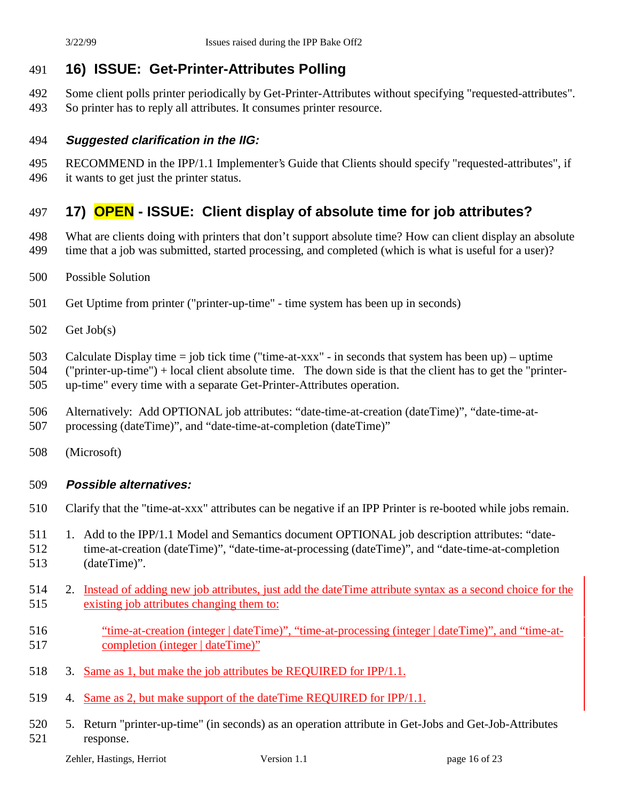# **16) ISSUE: Get-Printer-Attributes Polling**

 Some client polls printer periodically by Get-Printer-Attributes without specifying "requested-attributes". So printer has to reply all attributes. It consumes printer resource.

### **Suggested clarification in the IIG:**

- RECOMMEND in the IPP/1.1 Implementer's Guide that Clients should specify "requested-attributes", if
- it wants to get just the printer status.

# **17) OPEN - ISSUE: Client display of absolute time for job attributes?**

- What are clients doing with printers that don't support absolute time? How can client display an absolute time that a job was submitted, started processing, and completed (which is what is useful for a user)?
- Possible Solution
- Get Uptime from printer ("printer-up-time" time system has been up in seconds)
- Get Job(s)
- Calculate Display time = job tick time ("time-at-xxx" in seconds that system has been up) uptime
- ("printer-up-time") + local client absolute time. The down side is that the client has to get the "printer-
- up-time" every time with a separate Get-Printer-Attributes operation.
- Alternatively: Add OPTIONAL job attributes: "date-time-at-creation (dateTime)", "date-time-at-
- processing (dateTime)", and "date-time-at-completion (dateTime)"
- (Microsoft)

#### **Possible alternatives:**

- Clarify that the "time-at-xxx" attributes can be negative if an IPP Printer is re-booted while jobs remain.
- 511 1. Add to the IPP/1.1 Model and Semantics document OPTIONAL job description attributes: "date- time-at-creation (dateTime)", "date-time-at-processing (dateTime)", and "date-time-at-completion (dateTime)".
- 514 2. Instead of adding new job attributes, just add the dateTime attribute syntax as a second choice for the
	- existing job attributes changing them to:
	- "time-at-creation (integer | dateTime)", "time-at-processing (integer | dateTime)", and "time-at-completion (integer | dateTime)"
	- 3. Same as 1, but make the job attributes be REQUIRED for IPP/1.1.
	- 4. Same as 2, but make support of the dateTime REQUIRED for IPP/1.1.
	- 5. Return "printer-up-time" (in seconds) as an operation attribute in Get-Jobs and Get-Job-Attributes response.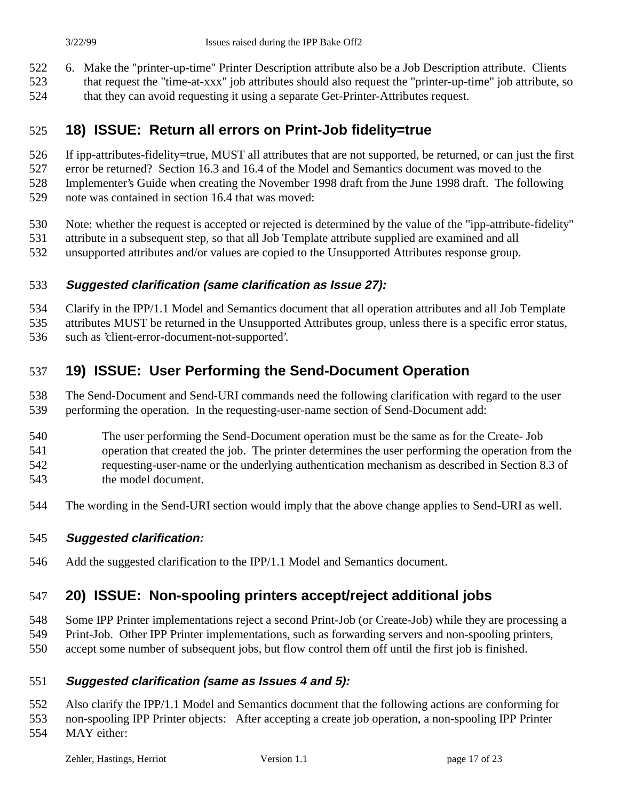6. Make the "printer-up-time" Printer Description attribute also be a Job Description attribute. Clients

- that request the "time-at-xxx" job attributes should also request the "printer-up-time" job attribute, so
- that they can avoid requesting it using a separate Get-Printer-Attributes request.

### **18) ISSUE: Return all errors on Print-Job fidelity=true**

If ipp-attributes-fidelity=true, MUST all attributes that are not supported, be returned, or can just the first

error be returned? Section 16.3 and 16.4 of the Model and Semantics document was moved to the

Implementer's Guide when creating the November 1998 draft from the June 1998 draft. The following

- note was contained in section 16.4 that was moved:
- Note: whether the request is accepted or rejected is determined by the value of the "ipp-attribute-fidelity"
- attribute in a subsequent step, so that all Job Template attribute supplied are examined and all
- unsupported attributes and/or values are copied to the Unsupported Attributes response group.

### **Suggested clarification (same clarification as Issue 27):**

Clarify in the IPP/1.1 Model and Semantics document that all operation attributes and all Job Template

attributes MUST be returned in the Unsupported Attributes group, unless there is a specific error status,

such as 'client-error-document-not-supported'.

# **19) ISSUE: User Performing the Send-Document Operation**

 The Send-Document and Send-URI commands need the following clarification with regard to the user performing the operation. In the requesting-user-name section of Send-Document add:

- The user performing the Send-Document operation must be the same as for the Create- Job operation that created the job. The printer determines the user performing the operation from the requesting-user-name or the underlying authentication mechanism as described in Section 8.3 of
- the model document.
- The wording in the Send-URI section would imply that the above change applies to Send-URI as well.

# **Suggested clarification:**

Add the suggested clarification to the IPP/1.1 Model and Semantics document.

# **20) ISSUE: Non-spooling printers accept/reject additional jobs**

Some IPP Printer implementations reject a second Print-Job (or Create-Job) while they are processing a

- Print-Job. Other IPP Printer implementations, such as forwarding servers and non-spooling printers,
- accept some number of subsequent jobs, but flow control them off until the first job is finished.

# **Suggested clarification (same as Issues 4 and 5):**

Also clarify the IPP/1.1 Model and Semantics document that the following actions are conforming for

non-spooling IPP Printer objects: After accepting a create job operation, a non-spooling IPP Printer

MAY either: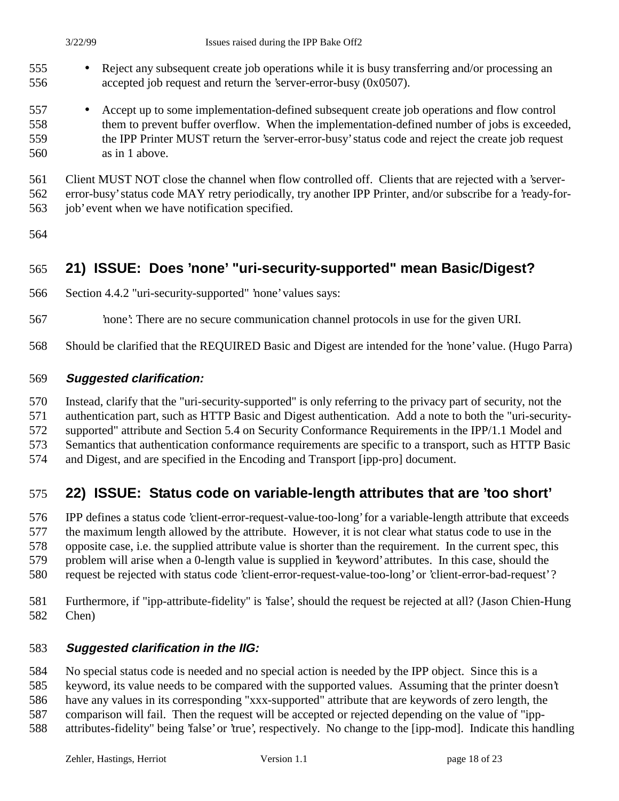- Reject any subsequent create job operations while it is busy transferring and/or processing an accepted job request and return the 'server-error-busy (0x0507).
- Accept up to some implementation-defined subsequent create job operations and flow control them to prevent buffer overflow. When the implementation-defined number of jobs is exceeded, the IPP Printer MUST return the 'server-error-busy' status code and reject the create job request as in 1 above.
- Client MUST NOT close the channel when flow controlled off. Clients that are rejected with a 'server- error-busy' status code MAY retry periodically, try another IPP Printer, and/or subscribe for a 'ready-for-job' event when we have notification specified.
- 

# **21) ISSUE: Does 'none' "uri-security-supported" mean Basic/Digest?**

- Section 4.4.2 "uri-security-supported" 'none' values says:
- 'none': There are no secure communication channel protocols in use for the given URI.
- Should be clarified that the REQUIRED Basic and Digest are intended for the 'none' value. (Hugo Parra)

#### **Suggested clarification:**

Instead, clarify that the "uri-security-supported" is only referring to the privacy part of security, not the

- authentication part, such as HTTP Basic and Digest authentication. Add a note to both the "uri-security-
- supported" attribute and Section 5.4 on Security Conformance Requirements in the IPP/1.1 Model and
- Semantics that authentication conformance requirements are specific to a transport, such as HTTP Basic
- and Digest, and are specified in the Encoding and Transport [ipp-pro] document.

### **22) ISSUE: Status code on variable-length attributes that are 'too short'**

 IPP defines a status code 'client-error-request-value-too-long' for a variable-length attribute that exceeds the maximum length allowed by the attribute. However, it is not clear what status code to use in the opposite case, i.e. the supplied attribute value is shorter than the requirement. In the current spec, this problem will arise when a 0-length value is supplied in 'keyword' attributes. In this case, should the

- request be rejected with status code 'client-error-request-value-too-long' or 'client-error-bad-request' ?
- Furthermore, if "ipp-attribute-fidelity" is 'false', should the request be rejected at all? (Jason Chien-Hung Chen)

### **Suggested clarification in the IIG:**

No special status code is needed and no special action is needed by the IPP object. Since this is a

keyword, its value needs to be compared with the supported values. Assuming that the printer doesn't

have any values in its corresponding "xxx-supported" attribute that are keywords of zero length, the

comparison will fail. Then the request will be accepted or rejected depending on the value of "ipp-

attributes-fidelity" being 'false' or 'true', respectively. No change to the [ipp-mod]. Indicate this handling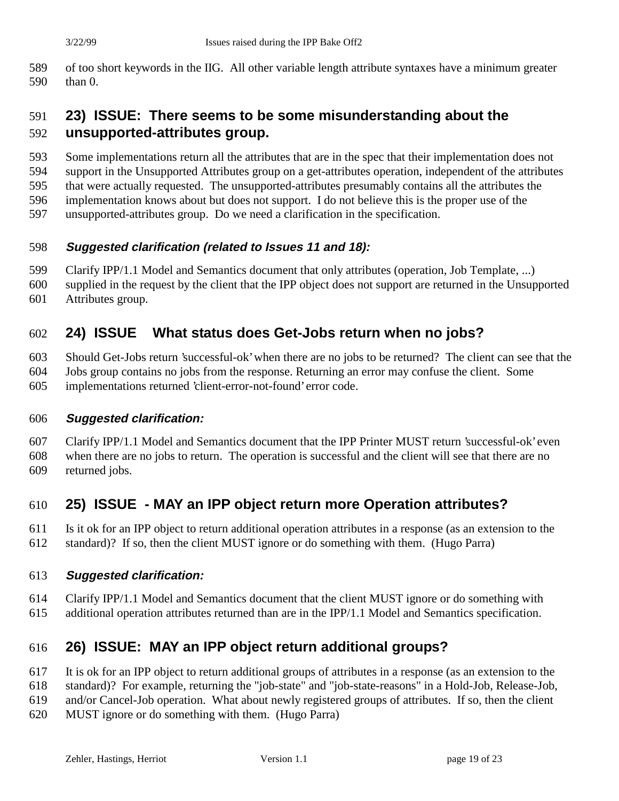of too short keywords in the IIG. All other variable length attribute syntaxes have a minimum greater than 0.

### **23) ISSUE: There seems to be some misunderstanding about the unsupported-attributes group.**

Some implementations return all the attributes that are in the spec that their implementation does not

support in the Unsupported Attributes group on a get-attributes operation, independent of the attributes

that were actually requested. The unsupported-attributes presumably contains all the attributes the

implementation knows about but does not support. I do not believe this is the proper use of the

unsupported-attributes group. Do we need a clarification in the specification.

#### **Suggested clarification (related to Issues 11 and 18):**

Clarify IPP/1.1 Model and Semantics document that only attributes (operation, Job Template, ...)

 supplied in the request by the client that the IPP object does not support are returned in the Unsupported Attributes group.

### **24) ISSUE What status does Get-Jobs return when no jobs?**

Should Get-Jobs return 'successful-ok' when there are no jobs to be returned? The client can see that the

Jobs group contains no jobs from the response. Returning an error may confuse the client. Some

implementations returned 'client-error-not-found' error code.

#### **Suggested clarification:**

 Clarify IPP/1.1 Model and Semantics document that the IPP Printer MUST return 'successful-ok' even when there are no jobs to return. The operation is successful and the client will see that there are no returned jobs.

### **25) ISSUE - MAY an IPP object return more Operation attributes?**

 Is it ok for an IPP object to return additional operation attributes in a response (as an extension to the standard)? If so, then the client MUST ignore or do something with them. (Hugo Parra)

#### **Suggested clarification:**

- Clarify IPP/1.1 Model and Semantics document that the client MUST ignore or do something with
- additional operation attributes returned than are in the IPP/1.1 Model and Semantics specification.

### **26) ISSUE: MAY an IPP object return additional groups?**

- It is ok for an IPP object to return additional groups of attributes in a response (as an extension to the
- standard)? For example, returning the "job-state" and "job-state-reasons" in a Hold-Job, Release-Job,
- and/or Cancel-Job operation. What about newly registered groups of attributes. If so, then the client
- MUST ignore or do something with them. (Hugo Parra)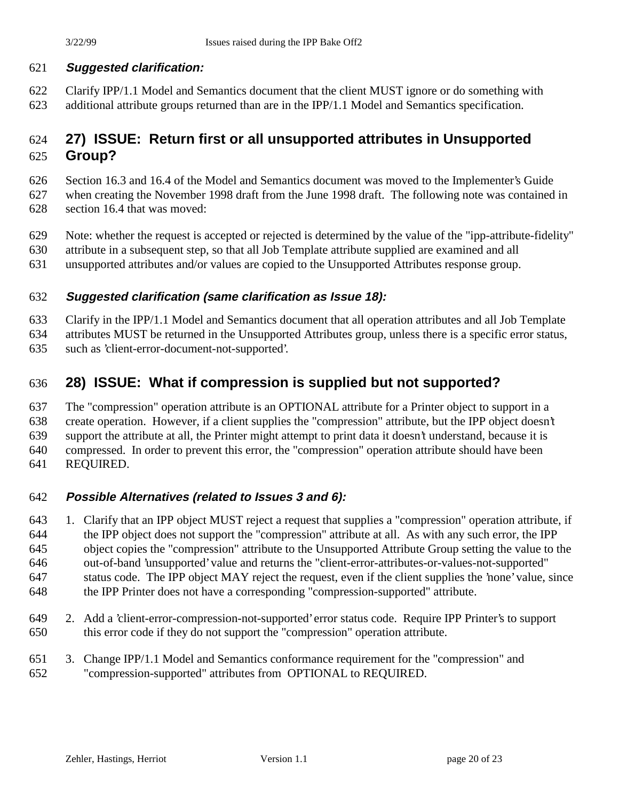#### **Suggested clarification:**

 Clarify IPP/1.1 Model and Semantics document that the client MUST ignore or do something with additional attribute groups returned than are in the IPP/1.1 Model and Semantics specification.

# **27) ISSUE: Return first or all unsupported attributes in Unsupported**

#### **Group?**

Section 16.3 and 16.4 of the Model and Semantics document was moved to the Implementer's Guide

- when creating the November 1998 draft from the June 1998 draft. The following note was contained in section 16.4 that was moved:
- Note: whether the request is accepted or rejected is determined by the value of the "ipp-attribute-fidelity"
- attribute in a subsequent step, so that all Job Template attribute supplied are examined and all
- unsupported attributes and/or values are copied to the Unsupported Attributes response group.

#### **Suggested clarification (same clarification as Issue 18):**

Clarify in the IPP/1.1 Model and Semantics document that all operation attributes and all Job Template

attributes MUST be returned in the Unsupported Attributes group, unless there is a specific error status,

such as 'client-error-document-not-supported'.

### **28) ISSUE: What if compression is supplied but not supported?**

 The "compression" operation attribute is an OPTIONAL attribute for a Printer object to support in a create operation. However, if a client supplies the "compression" attribute, but the IPP object doesn't support the attribute at all, the Printer might attempt to print data it doesn't understand, because it is compressed. In order to prevent this error, the "compression" operation attribute should have been REQUIRED.

### **Possible Alternatives (related to Issues 3 and 6):**

 1. Clarify that an IPP object MUST reject a request that supplies a "compression" operation attribute, if the IPP object does not support the "compression" attribute at all. As with any such error, the IPP object copies the "compression" attribute to the Unsupported Attribute Group setting the value to the out-of-band 'unsupported' value and returns the "client-error-attributes-or-values-not-supported" status code. The IPP object MAY reject the request, even if the client supplies the 'none' value, since the IPP Printer does not have a corresponding "compression-supported" attribute.

- 2. Add a 'client-error-compression-not-supported' error status code. Require IPP Printer's to support this error code if they do not support the "compression" operation attribute.
- 3. Change IPP/1.1 Model and Semantics conformance requirement for the "compression" and "compression-supported" attributes from OPTIONAL to REQUIRED.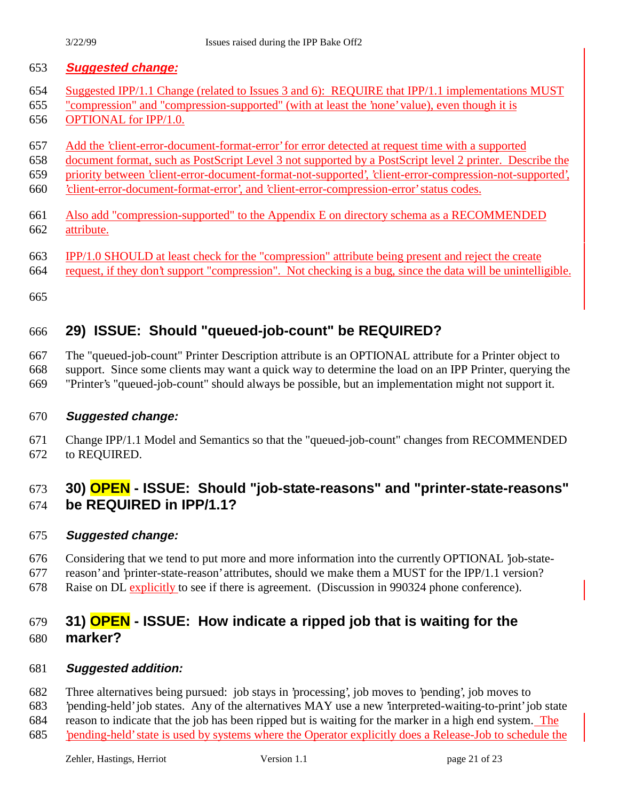- Suggested IPP/1.1 Change (related to Issues 3 and 6): REQUIRE that IPP/1.1 implementations MUST
- "compression" and "compression-supported" (with at least the 'none' value), even though it is
- OPTIONAL for IPP/1.0.
- Add the 'client-error-document-format-error' for error detected at request time with a supported
- document format, such as PostScript Level 3 not supported by a PostScript level 2 printer. Describe the
- priority between 'client-error-document-format-not-supported', 'client-error-compression-not-supported',
- 'client-error-document-format-error', and 'client-error-compression-error' status codes.
- Also add "compression-supported" to the Appendix E on directory schema as a RECOMMENDED attribute.
- IPP/1.0 SHOULD at least check for the "compression" attribute being present and reject the create
- request, if they don't support "compression". Not checking is a bug, since the data will be unintelligible.
- 

# **29) ISSUE: Should "queued-job-count" be REQUIRED?**

The "queued-job-count" Printer Description attribute is an OPTIONAL attribute for a Printer object to

support. Since some clients may want a quick way to determine the load on an IPP Printer, querying the

"Printer's "queued-job-count" should always be possible, but an implementation might not support it.

### **Suggested change:**

 Change IPP/1.1 Model and Semantics so that the "queued-job-count" changes from RECOMMENDED to REQUIRED.

# **30) OPEN - ISSUE: Should "job-state-reasons" and "printer-state-reasons" be REQUIRED in IPP/1.1?**

### **Suggested change:**

- Considering that we tend to put more and more information into the currently OPTIONAL 'job-state-
- reason' and 'printer-state-reason' attributes, should we make them a MUST for the IPP/1.1 version?
- Raise on DL explicitly to see if there is agreement. (Discussion in 990324 phone conference).

### **31) OPEN - ISSUE: How indicate a ripped job that is waiting for the marker?**

### **Suggested addition:**

- Three alternatives being pursued: job stays in 'processing', job moves to 'pending', job moves to
- 'pending-held' job states. Any of the alternatives MAY use a new 'interpreted-waiting-to-print' job state
- reason to indicate that the job has been ripped but is waiting for the marker in a high end system. The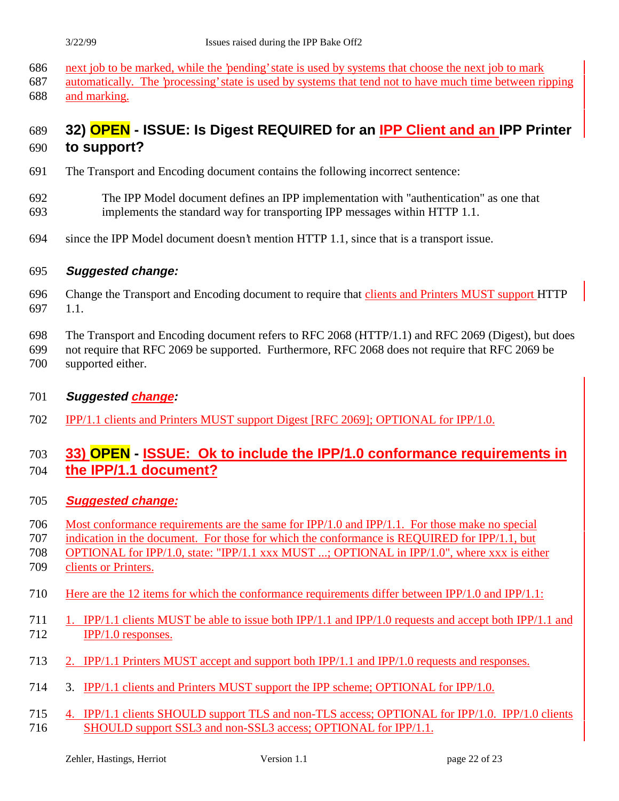|                          | 3/22/99                  | Issues raised during the IPP Bake Off2                                                                                                                                                                                                                                                      |
|--------------------------|--------------------------|---------------------------------------------------------------------------------------------------------------------------------------------------------------------------------------------------------------------------------------------------------------------------------------------|
| 686<br>687<br>688        | and marking.             | next job to be marked, while the 'pending' state is used by systems that choose the next job to mark<br>automatically. The 'processing' state is used by systems that tend not to have much time between ripping                                                                            |
| 689<br>690               | to support?              | 32) OPEN - ISSUE: Is Digest REQUIRED for an IPP Client and an IPP Printer                                                                                                                                                                                                                   |
| 691                      |                          | The Transport and Encoding document contains the following incorrect sentence:                                                                                                                                                                                                              |
| 692<br>693               |                          | The IPP Model document defines an IPP implementation with "authentication" as one that<br>implements the standard way for transporting IPP messages within HTTP 1.1.                                                                                                                        |
| 694                      |                          | since the IPP Model document doesn't mention HTTP 1.1, since that is a transport issue.                                                                                                                                                                                                     |
| 695                      | <b>Suggested change:</b> |                                                                                                                                                                                                                                                                                             |
| 696<br>697               | 1.1.                     | Change the Transport and Encoding document to require that clients and Printers MUST support HTTP                                                                                                                                                                                           |
| 698<br>699<br>700        | supported either.        | The Transport and Encoding document refers to RFC 2068 (HTTP/1.1) and RFC 2069 (Digest), but does<br>not require that RFC 2069 be supported. Furthermore, RFC 2068 does not require that RFC 2069 be                                                                                        |
| 701                      | <b>Suggested change:</b> |                                                                                                                                                                                                                                                                                             |
| 702                      |                          | <u>IPP/1.1 clients and Printers MUST support Digest [RFC 2069]; OPTIONAL for IPP/1.0.</u>                                                                                                                                                                                                   |
| 703<br>704               | the IPP/1.1 document?    | 33) OPEN - ISSUE: Ok to include the IPP/1.0 conformance requirements in                                                                                                                                                                                                                     |
| 705                      | <b>Suggested change:</b> |                                                                                                                                                                                                                                                                                             |
| 706<br>707<br>708<br>709 | clients or Printers.     | Most conformance requirements are the same for IPP/1.0 and IPP/1.1. For those make no special<br>indication in the document. For those for which the conformance is REQUIRED for IPP/1.1, but<br>OPTIONAL for IPP/1.0, state: "IPP/1.1 xxx MUST ; OPTIONAL in IPP/1.0", where xxx is either |
| 710                      |                          | Here are the 12 items for which the conformance requirements differ between $IPP/1.0$ and $IPP/1.1$ :                                                                                                                                                                                       |

- 711 1. IPP/1.1 clients MUST be able to issue both IPP/1.1 and IPP/1.0 requests and accept both IPP/1.1 and  $712$  IPP/1.0 responses.
- 713 2. IPP/1.1 Printers MUST accept and support both IPP/1.1 and IPP/1.0 requests and responses.
- 714 3. IPP/1.1 clients and Printers MUST support the IPP scheme; OPTIONAL for IPP/1.0.
- 715 4. IPP/1.1 clients SHOULD support TLS and non-TLS access; OPTIONAL for IPP/1.0. IPP/1.0 clients 716 SHOULD support SSL3 and non-SSL3 access; OPTIONAL for IPP/1.1.